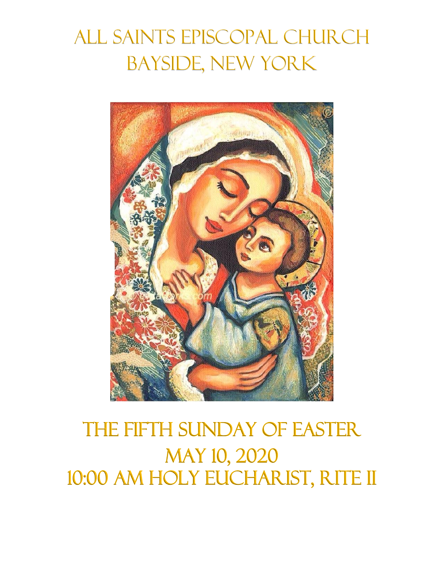# ALL SAINTS EPISCOPAL CHURCH Bayside, New York



# THE FIFTH SUNDAY OF EASTER May 10, 2020 10:00 Am Holy Eucharist, Rite II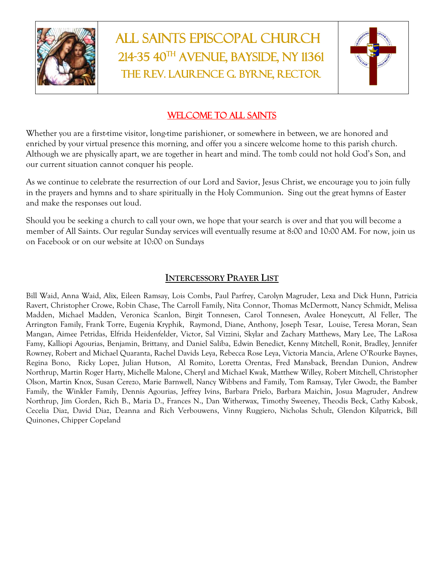

All Saints Episcopal Church  $214-35$   $40$ <sup>th</sup> AVENUE, BAYSIDE, NY 11361 The Rev. Laurence G. Byrne, Rector

Ι



# WELCOME TO ALL SAINTS

Whether you are a first-time visitor, long-time parishioner, or somewhere in between, we are honored and enriched by your virtual presence this morning, and offer you a sincere welcome home to this parish church. Although we are physically apart, we are together in heart and mind. The tomb could not hold God's Son, and our current situation cannot conquer his people.

As we continue to celebrate the resurrection of our Lord and Savior, Jesus Christ, we encourage you to join fully in the prayers and hymns and to share spiritually in the Holy Communion. Sing out the great hymns of Easter and make the responses out loud.

Should you be seeking a church to call your own, we hope that your search is over and that you will become a member of All Saints. Our regular Sunday services will eventually resume at 8:00 and 10:00 AM. For now, join us on Facebook or on our website at 10:00 on Sundays

## **INTERCESSORY PRAYER LIST**

Bill Waid, Anna Waid, Alix, Eileen Ramsay, Lois Combs, Paul Parfrey, Carolyn Magruder, Lexa and Dick Hunn, Patricia Ravert, Christopher Crowe, Robin Chase, The Carroll Family, Nita Connor, Thomas McDermott, Nancy Schmidt, Melissa Madden, Michael Madden, Veronica Scanlon, Birgit Tonnesen, Carol Tonnesen, Avalee Honeycutt, Al Feller, The Arrington Family, Frank Torre, Eugenia Kryphik, Raymond, Diane, Anthony, Joseph Tesar, Louise, Teresa Moran, Sean Mangan, Aimee Petridas, Elfrida Heidenfelder, Victor, Sal Vizzini, Skylar and Zachary Matthews, Mary Lee, The LaRosa Famy, Kalliopi Agourias, Benjamin, Brittany, and Daniel Saliba, Edwin Benedict, Kenny Mitchell, Ronit, Bradley, Jennifer Rowney, Robert and Michael Quaranta, Rachel Davids Leya, Rebecca Rose Leya, Victoria Mancia, Arlene O'Rourke Baynes, Regina Bono, Ricky Lopez, Julian Hutson, Al Romito, Loretta Orentas, Fred Mansback, Brendan Dunion, Andrew Northrup, Martin Roger Harty, Michelle Malone, Cheryl and Michael Kwak, Matthew Willey, Robert Mitchell, Christopher Olson, Martin Knox, Susan Cerezo, Marie Barnwell, Nancy Wibbens and Family, Tom Ramsay, Tyler Gwodz, the Bamber Family, the Winkler Family, Dennis Agourias, Jeffrey Ivins, Barbara Prielo, Barbara Maichin, Josua Magruder, Andrew Northrup, Jim Gorden, Rich B., Maria D., Frances N., Dan Witherwax, Timothy Sweeney, Theodis Beck, Cathy Kabosk, Cecelia Diaz, David Diaz, Deanna and Rich Verbouwens, Vinny Ruggiero, Nicholas Schulz, Glendon Kilpatrick, Bill Quinones, Chipper Copeland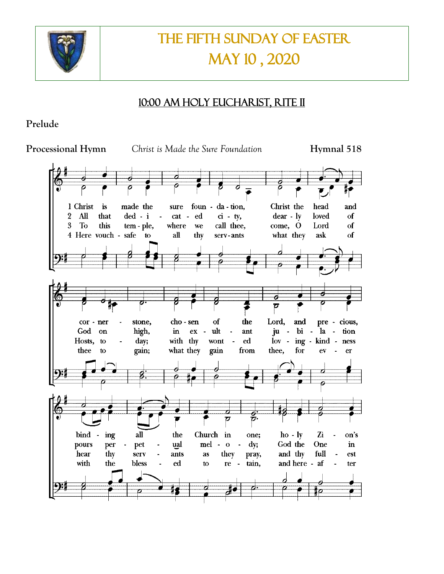

# THE FIFTH SUNDAY OF EASTER MAY 10, 2020

# 10:00 AM Holy Eucharist, Rite II

# **Prelude**

**Processional Hymn** *Christ is Made the Sure Foundation* **Hymnal 518**1 Christ made the Christ the head is sure foun - da - tion, and  $2$  All ded - i dear - ly loved that cat - ed  $\dot{c}$  - ty, of  $\blacksquare$  $3<sup>1</sup>$ To this tem - ple, where call thee, come, O Lord we of 4 Here vouch - safe  $all$ serv-ants what they  $\mathbf{t}$ thy ask of cho - sen Lord. cor - ner stone, of the and pre - cious, God on high,  $\mathbf{in}$ ex - ult ant ju bi - la - tion i. Hosts, to day; with thy wont  $\ddot{\phantom{a}}$  $\frac{1}{v}$  ing - kind - ness ed thee gain; what they gain from thee, for  $ev$ to  $\Box$  $er$ d  $\overline{\mathcal{P}}$  $\bar{\bm{\sigma}}$ bind ing all the Church in one;  $ho - ly$ Zi on's dy; God the pours per  $\ddot{\phantom{a}}$ ual  $mel - o$ One in pet  $\omega$ hear thy serv ants as they pray, and thy full est  $\ddot{\phantom{1}}$ with bless and here - af the ed to  $re$ tain, ter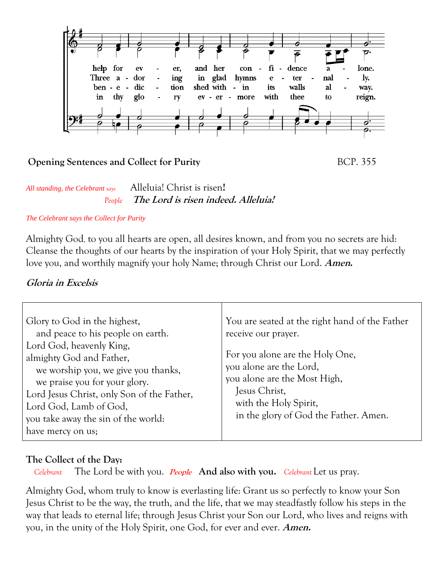

# **Opening Sentences and Collect for Purity** BCP. 355

| All standing, the Celebrant says | Alleluia! Christ is risen!                 |
|----------------------------------|--------------------------------------------|
|                                  | People The Lord is risen indeed. Alleluia! |

#### *The Celebrant says the Collect for Purity*

Almighty God, to you all hearts are open, all desires known, and from you no secrets are hid: Cleanse the thoughts of our hearts by the inspiration of your Holy Spirit, that we may perfectly love you, and worthily magnify your holy Name; through Christ our Lord. **Amen.**

## **Gloria in Excelsis**

| Glory to God in the highest,<br>and peace to his people on earth.<br>Lord God, heavenly King,<br>almighty God and Father,<br>we worship you, we give you thanks,<br>we praise you for your glory.<br>Lord Jesus Christ, only Son of the Father,<br>Lord God, Lamb of God,<br>you take away the sin of the world: | You are seated at the right hand of the Father<br>receive our prayer.<br>For you alone are the Holy One,<br>you alone are the Lord,<br>you alone are the Most High,<br>Jesus Christ,<br>with the Holy Spirit,<br>in the glory of God the Father. Amen. |
|------------------------------------------------------------------------------------------------------------------------------------------------------------------------------------------------------------------------------------------------------------------------------------------------------------------|--------------------------------------------------------------------------------------------------------------------------------------------------------------------------------------------------------------------------------------------------------|
| have mercy on us;                                                                                                                                                                                                                                                                                                |                                                                                                                                                                                                                                                        |
|                                                                                                                                                                                                                                                                                                                  |                                                                                                                                                                                                                                                        |

# **The Collect of the Day:**

 *Celebrant* The Lord be with you. **People And also with you.** *Celebrant*Let us pray.

Almighty God, whom truly to know is everlasting life: Grant us so perfectly to know your Son Jesus Christ to be the way, the truth, and the life, that we may steadfastly follow his steps in the way that leads to eternal life; through Jesus Christ your Son our Lord, who lives and reigns with you, in the unity of the Holy Spirit, one God, for ever and ever. **Amen.**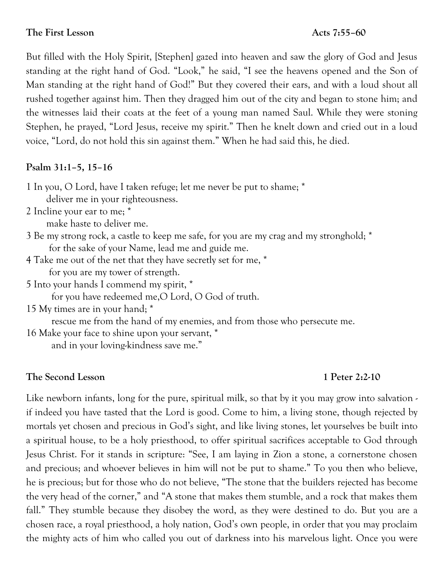# **The First Lesson Acts 7:55–60**

But filled with the Holy Spirit, [Stephen] gazed into heaven and saw the glory of God and Jesus standing at the right hand of God. "Look," he said, "I see the heavens opened and the Son of Man standing at the right hand of God!" But they covered their ears, and with a loud shout all rushed together against him. Then they dragged him out of the city and began to stone him; and the witnesses laid their coats at the feet of a young man named Saul. While they were stoning Stephen, he prayed, "Lord Jesus, receive my spirit." Then he knelt down and cried out in a loud voice, "Lord, do not hold this sin against them." When he had said this, he died.

# **Psalm 31:1–5, 15–16**

1 In you, O Lord, have I taken refuge; let me never be put to shame; \*

deliver me in your righteousness.

2 Incline your ear to me; \*

make haste to deliver me.

- 3 Be my strong rock, a castle to keep me safe, for you are my crag and my stronghold; \* for the sake of your Name, lead me and guide me.
- 4 Take me out of the net that they have secretly set for me,  $*$

for you are my tower of strength.

5 Into your hands I commend my spirit, \*

for you have redeemed me,O Lord, O God of truth.

15 My times are in your hand; \*

rescue me from the hand of my enemies, and from those who persecute me.

16 Make your face to shine upon your servant, \*

and in your loving-kindness save me."

# **The Second Lesson 1 Peter 2:2-10**

Like newborn infants, long for the pure, spiritual milk, so that by it you may grow into salvation if indeed you have tasted that the Lord is good. Come to him, a living stone, though rejected by mortals yet chosen and precious in God's sight, and like living stones, let yourselves be built into a spiritual house, to be a holy priesthood, to offer spiritual sacrifices acceptable to God through Jesus Christ. For it stands in scripture: "See, I am laying in Zion a stone, a cornerstone chosen and precious; and whoever believes in him will not be put to shame." To you then who believe, he is precious; but for those who do not believe, "The stone that the builders rejected has become the very head of the corner," and "A stone that makes them stumble, and a rock that makes them fall." They stumble because they disobey the word, as they were destined to do. But you are a chosen race, a royal priesthood, a holy nation, God's own people, in order that you may proclaim the mighty acts of him who called you out of darkness into his marvelous light. Once you were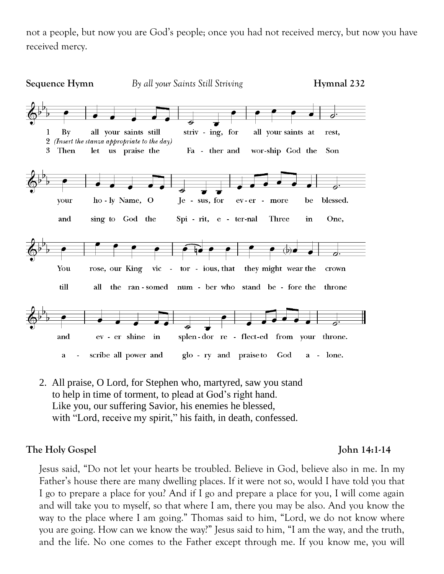not a people, but now you are God's people; once you had not received mercy, but now you have received mercy.



2. All praise, O Lord, for Stephen who, martyred, saw you stand to help in time of torment, to plead at God's right hand. Like you, our suffering Savior, his enemies he blessed, with "Lord, receive my spirit," his faith, in death, confessed.

### **The Holy Gospel** John 14:1-14

Jesus said, "Do not let your hearts be troubled. Believe in God, believe also in me. In my Father's house there are many dwelling places. If it were not so, would I have told you that I go to prepare a place for you? And if I go and prepare a place for you, I will come again and will take you to myself, so that where I am, there you may be also. And you know the way to the place where I am going." Thomas said to him, "Lord, we do not know where you are going. How can we know the way?" Jesus said to him, "I am the way, and the truth, and the life. No one comes to the Father except through me. If you know me, you will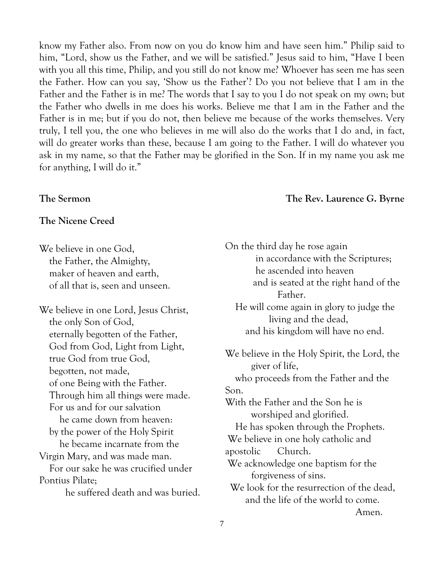know my Father also. From now on you do know him and have seen him." Philip said to him, "Lord, show us the Father, and we will be satisfied." Jesus said to him, "Have I been with you all this time, Philip, and you still do not know me? Whoever has seen me has seen the Father. How can you say, 'Show us the Father'? Do you not believe that I am in the Father and the Father is in me? The words that I say to you I do not speak on my own; but the Father who dwells in me does his works. Believe me that I am in the Father and the Father is in me; but if you do not, then believe me because of the works themselves. Very truly, I tell you, the one who believes in me will also do the works that I do and, in fact, will do greater works than these, because I am going to the Father. I will do whatever you ask in my name, so that the Father may be glorified in the Son. If in my name you ask me for anything, I will do it."

### **The Nicene Creed**

We believe in one Lord, Jesus Christ, the only Son of God, eternally begotten of the Father, God from God, Light from Light, true God from true God, begotten, not made, of one Being with the Father. Through him all things were made. For us and for our salvation he came down from heaven: by the power of the Holy Spirit he became incarnate from the Virgin Mary, and was made man. For our sake he was crucified under Pontius Pilate; he suffered death and was buried.

#### **The Sermon The Rev. Laurence G. Byrne**

| On the third day he rose again                                 |  |
|----------------------------------------------------------------|--|
| in accordance with the Scriptures;                             |  |
| he ascended into heaven                                        |  |
| and is seated at the right hand of the                         |  |
| Father.                                                        |  |
| He will come again in glory to judge the                       |  |
| living and the dead,                                           |  |
| and his kingdom will have no end.                              |  |
| We believe in the Holy Spirit, the Lord, the<br>giver of life, |  |
| who proceeds from the Father and the                           |  |
| Son.                                                           |  |
| With the Father and the Son he is                              |  |
| worshiped and glorified.                                       |  |
| He has spoken through the Prophets.                            |  |
| We believe in one holy catholic and                            |  |
| Church.<br>apostolic                                           |  |
| We acknowledge one baptism for the                             |  |
| forgiveness of sins.                                           |  |
| We look for the resurrection of the dead,                      |  |
| and the life of the world to come.                             |  |
| Amen.                                                          |  |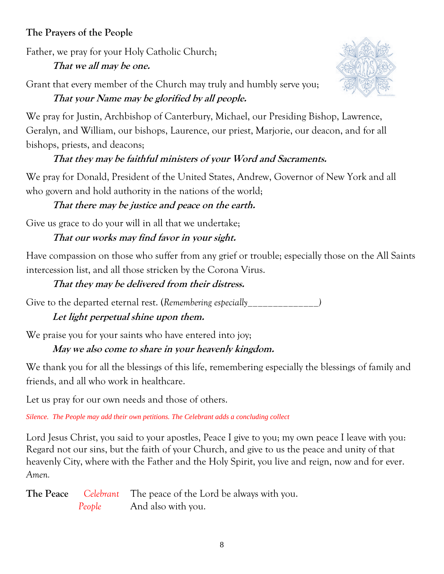# **The Prayers of the People**

Father, we pray for your Holy Catholic Church; **That we all may be one.**

Grant that every member of the Church may truly and humbly serve you; **That your Name may be glorified by all people.**



We pray for Justin, Archbishop of Canterbury, Michael, our Presiding Bishop, Lawrence, Geralyn, and William, our bishops, Laurence, our priest, Marjorie, our deacon, and for all bishops, priests, and deacons;

# **That they may be faithful ministers of your Word and Sacraments.**

We pray for Donald, President of the United States, Andrew, Governor of New York and all who govern and hold authority in the nations of the world;

**That there may be justice and peace on the earth.**

Give us grace to do your will in all that we undertake;

**That our works may find favor in your sight.**

Have compassion on those who suffer from any grief or trouble; especially those on the All Saints intercession list, and all those stricken by the Corona Virus.

**That they may be delivered from their distress.**

Give to the departed eternal rest. (*Remembering especially* 

# **Let light perpetual shine upon them.**

We praise you for your saints who have entered into joy;

# **May we also come to share in your heavenly kingdom.**

We thank you for all the blessings of this life, remembering especially the blessings of family and friends, and all who work in healthcare.

Let us pray for our own needs and those of others.

*Silence. The People may add their own petitions. The Celebrant adds a concluding collect*

Lord Jesus Christ, you said to your apostles, Peace I give to you; my own peace I leave with you: Regard not our sins, but the faith of your Church, and give to us the peace and unity of that heavenly City, where with the Father and the Holy Spirit, you live and reign, now and for ever. *Amen.*

**The Peace** *Celebrant* The peace of the Lord be always with you. *People* And also with you.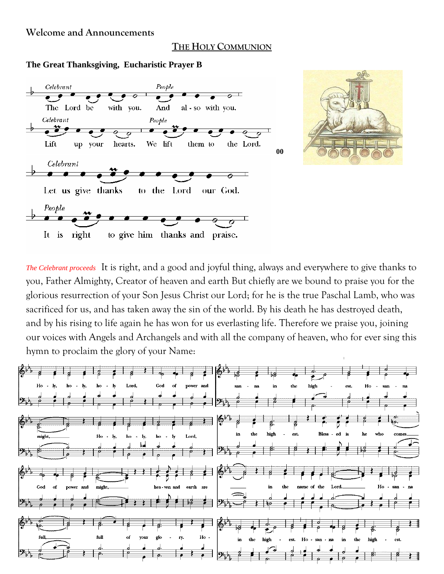### **THE HOLY COMMUNION**

#### **The Great Thanksgiving, Eucharistic Prayer B**





*The Celebrant proceeds* It is right, and a good and joyful thing, always and everywhere to give thanks to you, Father Almighty, Creator of heaven and earth But chiefly are we bound to praise you for the glorious resurrection of your Son Jesus Christ our Lord; for he is the true Paschal Lamb, who was sacrificed for us, and has taken away the sin of the world. By his death he has destroyed death, and by his rising to life again he has won for us everlasting life. Therefore we praise you, joining our voices with Angels and Archangels and with all the company of heaven, who for ever sing this hymn to proclaim the glory of your Name:

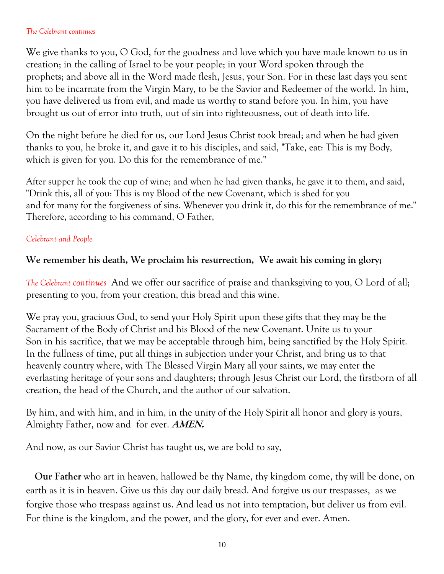#### *The Celebrant continues*

We give thanks to you, O God, for the goodness and love which you have made known to us in creation; in the calling of Israel to be your people; in your Word spoken through the prophets; and above all in the Word made flesh, Jesus, your Son. For in these last days you sent him to be incarnate from the Virgin Mary, to be the Savior and Redeemer of the world. In him, you have delivered us from evil, and made us worthy to stand before you. In him, you have brought us out of error into truth, out of sin into righteousness, out of death into life.

On the night before he died for us, our Lord Jesus Christ took bread; and when he had given thanks to you, he broke it, and gave it to his disciples, and said, "Take, eat: This is my Body, which is given for you. Do this for the remembrance of me."

After supper he took the cup of wine; and when he had given thanks, he gave it to them, and said, "Drink this, all of you: This is my Blood of the new Covenant, which is shed for you and for many for the forgiveness of sins. Whenever you drink it, do this for the remembrance of me." Therefore, according to his command, O Father,

### *Celebrant and People*

## **We remember his death, We proclaim his resurrection, We await his coming in glory;**

*The Celebrant continues* And we offer our sacrifice of praise and thanksgiving to you, O Lord of all; presenting to you, from your creation, this bread and this wine.

We pray you, gracious God, to send your Holy Spirit upon these gifts that they may be the Sacrament of the Body of Christ and his Blood of the new Covenant. Unite us to your Son in his sacrifice, that we may be acceptable through him, being sanctified by the Holy Spirit. In the fullness of time, put all things in subjection under your Christ, and bring us to that heavenly country where, with The Blessed Virgin Mary all your saints, we may enter the everlasting heritage of your sons and daughters; through Jesus Christ our Lord, the firstborn of all creation, the head of the Church, and the author of our salvation.

By him, and with him, and in him, in the unity of the Holy Spirit all honor and glory is yours, Almighty Father, now and for ever. **AMEN.**

And now, as our Savior Christ has taught us, we are bold to say,

 **Our Father** who art in heaven, hallowed be thy Name, thy kingdom come, thy will be done, on earth as it is in heaven. Give us this day our daily bread. And forgive us our trespasses, as we forgive those who trespass against us. And lead us not into temptation, but deliver us from evil. For thine is the kingdom, and the power, and the glory, for ever and ever. Amen.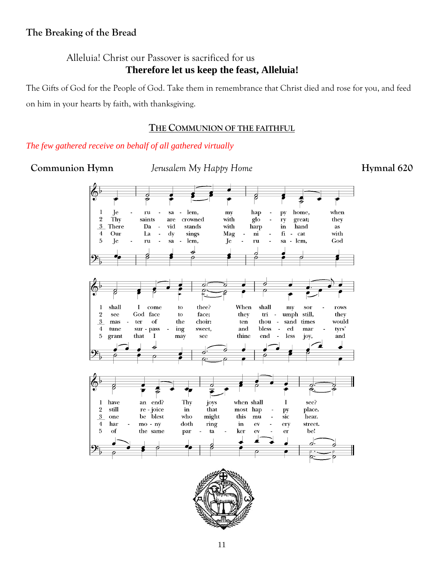# **The Breaking of the Bread**

# Alleluia! Christ our Passover is sacrificed for us **Therefore let us keep the feast, Alleluia!**

The Gifts of God for the People of God. Take them in remembrance that Christ died and rose for you, and feed on him in your hearts by faith, with thanksgiving.

#### **THE COMMUNION OF THE FAITHFUL**

*The few gathered receive on behalf of all gathered virtually*

**Communion Hymn** *Jerusalem My Happy Home Hymnal 620* 



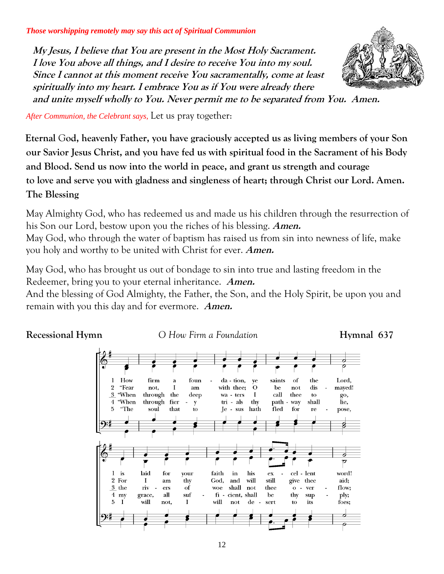#### *Those worshipping remotely may say this act of Spiritual Communion*

**My Jesus, I believe that You are present in the Most Holy Sacrament. I love You above all things, and I desire to receive You into my soul. Since I cannot at this moment receive You sacramentally, come at least spiritually into my heart. I embrace You as if You were already there and unite myself wholly to You. Never permit me to be separated from You. Amen.**



*After Communion, the Celebrant says,* Let us pray together:

 **Eternal** G**od, heavenly Father, you have graciously accepted us as living members of your Son our Savior Jesus Christ, and you have fed us with spiritual food in the Sacrament of his Body and Blood. Send us now into the world in peace, and grant us strength and courage to love and serve you with gladness and singleness of heart; through Christ our Lord. Amen. The Blessing** 

May Almighty God, who has redeemed us and made us his children through the resurrection of his Son our Lord, bestow upon you the riches of his blessing. **Amen.**

May God, who through the water of baptism has raised us from sin into newness of life, make you holy and worthy to be united with Christ for ever. **Amen.**

May God, who has brought us out of bondage to sin into true and lasting freedom in the Redeemer, bring you to your eternal inheritance. **Amen.**

And the blessing of God Almighty, the Father, the Son, and the Holy Spirit, be upon you and remain with you this day and for evermore. **Amen.**

#### **Recessional Hymn** *O How Firm a Foundation* **<b>Hymnal 637**